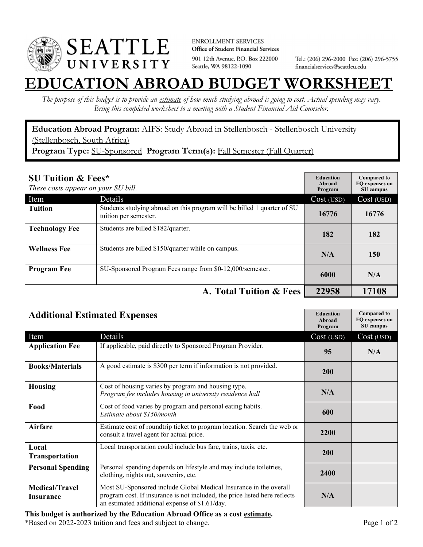

**ENROLLMENT SERVICES** Office of Student Financial Services 901 12th Avenue, P.O. Box 222000 Seattle, WA 98122-1090

Tel.: (206) 296-2000 Fax: (206) 296-5755 financialservices@seattleu.edu

## **EATION ABROAD BUDGET WORKSHEE**

*The purpose of this budget is to provide an estimate of how much studying abroad is going to cost. Actual spending may vary. Bring this completed worksheet to a meeting with a Student Financial Aid Counselor.* 

**Education Abroad Program:** AIFS: Study Abroad in Stellenbosch - Stellenbosch University (Stellenbosch, South Africa) **Program Type:** SU-Sponsored **Program Term(s):** Fall Semester (Fall Quarter)

| <b>SU Tuition &amp; Fees*</b><br>These costs appear on your SU bill. |                                                                                                  | <b>Education</b><br>Abroad<br>Program | <b>Compared to</b><br>FO expenses on<br>SU campus |
|----------------------------------------------------------------------|--------------------------------------------------------------------------------------------------|---------------------------------------|---------------------------------------------------|
| Item                                                                 | Details                                                                                          | Cost (USD)                            | Cost (USD)                                        |
| <b>Tuition</b>                                                       | Students studying abroad on this program will be billed 1 quarter of SU<br>tuition per semester. | 16776                                 | 16776                                             |
| <b>Technology Fee</b>                                                | Students are billed \$182/quarter.                                                               | 182                                   | 182                                               |
| <b>Wellness Fee</b>                                                  | Students are billed \$150/quarter while on campus.                                               | N/A                                   | 150                                               |
| <b>Program Fee</b>                                                   | SU-Sponsored Program Fees range from \$0-12,000/semester.                                        | 6000                                  | N/A                                               |
|                                                                      | A. Total Tuition & Fees                                                                          | 22958                                 | 17108                                             |

| <b>Additional Estimated Expenses</b> |                                                                                                                                                                                                   | <b>Education</b><br>Abroad<br>Program | <b>Compared to</b><br>FQ expenses on<br>SU campus |
|--------------------------------------|---------------------------------------------------------------------------------------------------------------------------------------------------------------------------------------------------|---------------------------------------|---------------------------------------------------|
| Item                                 | Details                                                                                                                                                                                           | Cost (USD)                            | Cost (USD)                                        |
| <b>Application Fee</b>               | If applicable, paid directly to Sponsored Program Provider.                                                                                                                                       | 95                                    | N/A                                               |
| <b>Books/Materials</b>               | A good estimate is \$300 per term if information is not provided.                                                                                                                                 | 200                                   |                                                   |
| <b>Housing</b>                       | Cost of housing varies by program and housing type.<br>Program fee includes housing in university residence hall                                                                                  | N/A                                   |                                                   |
| Food                                 | Cost of food varies by program and personal eating habits.<br>Estimate about \$150/month                                                                                                          | 600                                   |                                                   |
| <b>Airfare</b>                       | Estimate cost of roundtrip ticket to program location. Search the web or<br>consult a travel agent for actual price.                                                                              | 2200                                  |                                                   |
| Local<br>Transportation              | Local transportation could include bus fare, trains, taxis, etc.                                                                                                                                  | 200                                   |                                                   |
| <b>Personal Spending</b>             | Personal spending depends on lifestyle and may include toiletries,<br>clothing, nights out, souvenirs, etc.                                                                                       | 2400                                  |                                                   |
| <b>Medical/Travel</b><br>Insurance   | Most SU-Sponsored include Global Medical Insurance in the overall<br>program cost. If insurance is not included, the price listed here reflects<br>an estimated additional expense of \$1.61/day. | N/A                                   |                                                   |